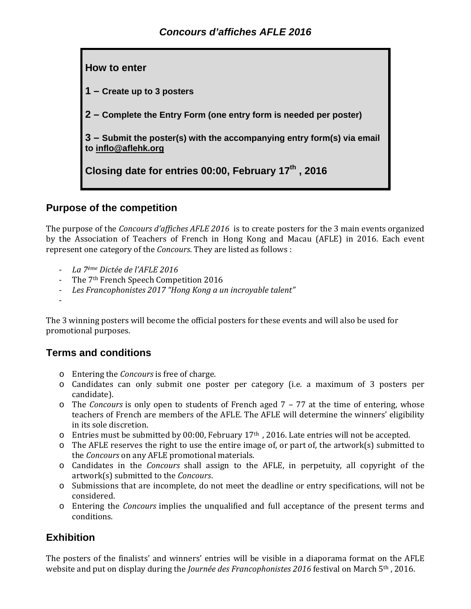

**1 – Create up to 3 posters**

**2 – Complete the Entry Form (one entry form is needed per poster)**

**3 – Submit the poster(s) with the accompanying entry form(s) via email to inflo@aflehk.org** 

**Closing date for entries 00:00, February 17th , 2016** 

# **Purpose of the competition**

The purpose of the *Concours d'affiches AFLE* 2016 is to create posters for the 3 main events organized by the Association of Teachers of French in Hong Kong and Macau (AFLE) in 2016. Each event represent one category of the *Concours*. They are listed as follows :

- ‐ *La 7ème Dictée de l'AFLE 2016*
- The 7<sup>th</sup> French Speech Competition 2016
- ‐ *Les Francophonistes 2017 "Hong Kong a un incroyable talent"*
- ‐

The 3 winning posters will become the official posters for these events and will also be used for promotional purposes.

#### **Terms and conditions**

- o Entering the *Concours* is free of charge.
- o Candidates can only submit one poster per category (i.e. a maximum of 3 posters per candidate).
- $\circ$  The *Concours* is only open to students of French aged  $7 77$  at the time of entering, whose teachers of French are members of the AFLE. The AFLE will determine the winners' eligibility in its sole discretion.
- $\circ$  Entries must be submitted by 00:00, February 17<sup>th</sup>, 2016. Late entries will not be accepted.
- $\circ$  The AFLE reserves the right to use the entire image of, or part of, the artwork(s) submitted to the *Concours* on any AFLE promotional materials.
- o Candidates in the *Concours* shall assign to the AFLE, in perpetuity, all copyright of the artwork(s) submitted to the *Concours*.
- o Submissions that are incomplete, do not meet the deadline or entry specifications, will not be considered.
- $\circ$  Entering the *Concours* implies the unqualified and full acceptance of the present terms and conditions.

## **Exhibition**

The posters of the finalists' and winners' entries will be visible in a diaporama format on the AFLE website and put on display during the *Journée des Francophonistes* 2016 festival on March 5<sup>th</sup>, 2016.